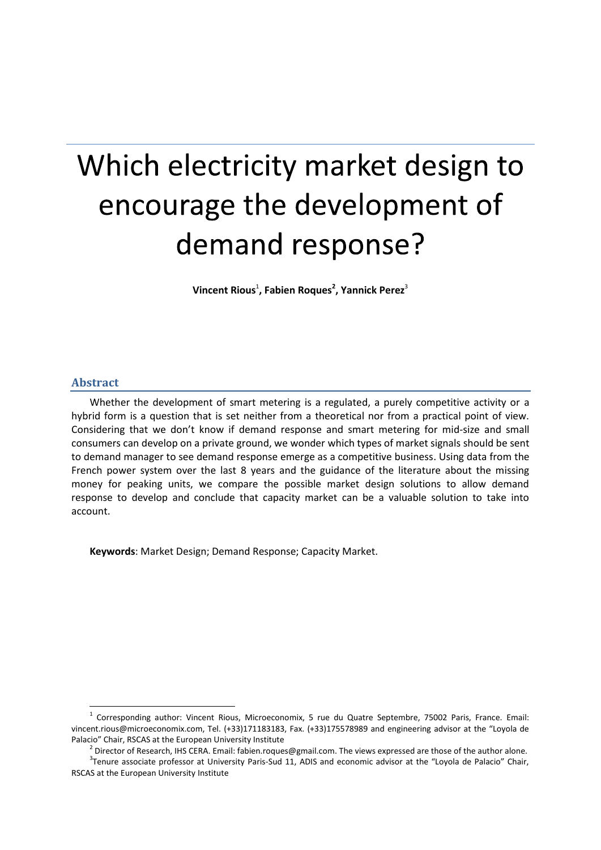# Which electricity market design to encourage the development of demand response?

Vincent Rious<sup>1</sup>, Fabien Roques<sup>2</sup>, Yannick Perez<sup>3</sup>

# **Abstract**

 $\overline{a}$ 

Whether the development of smart metering is a regulated, a purely competitive activity or a hybrid form is a question that is set neither from a theoretical nor from a practical point of view. Considering that we don't know if demand response and smart metering for mid-size and small consumers can develop on a private ground, we wonder which types of market signals should be sent to demand manager to see demand response emerge as a competitive business. Using data from the French power system over the last 8 years and the guidance of the literature about the missing money for peaking units, we compare the possible market design solutions to allow demand response to develop and conclude that capacity market can be a valuable solution to take into account.

**Keywords**: Market Design; Demand Response; Capacity Market.

<sup>&</sup>lt;sup>1</sup> Corresponding author: Vincent Rious, Microeconomix, 5 rue du Quatre Septembre, 75002 Paris, France. Email: vincent.rious@microeconomix.com, Tel. (+33)171183183, Fax. (+33)175578989 and engineering advisor at the "Loyola de Palacio" Chair, RSCAS at the European University Institute

<sup>&</sup>lt;sup>2</sup> Director of Research, IHS CERA. Email: fabien.roques@gmail.com. The views expressed are those of the author alone.

 $3$ Tenure associate professor at University Paris-Sud 11, ADIS and economic advisor at the "Loyola de Palacio" Chair, RSCAS at the European University Institute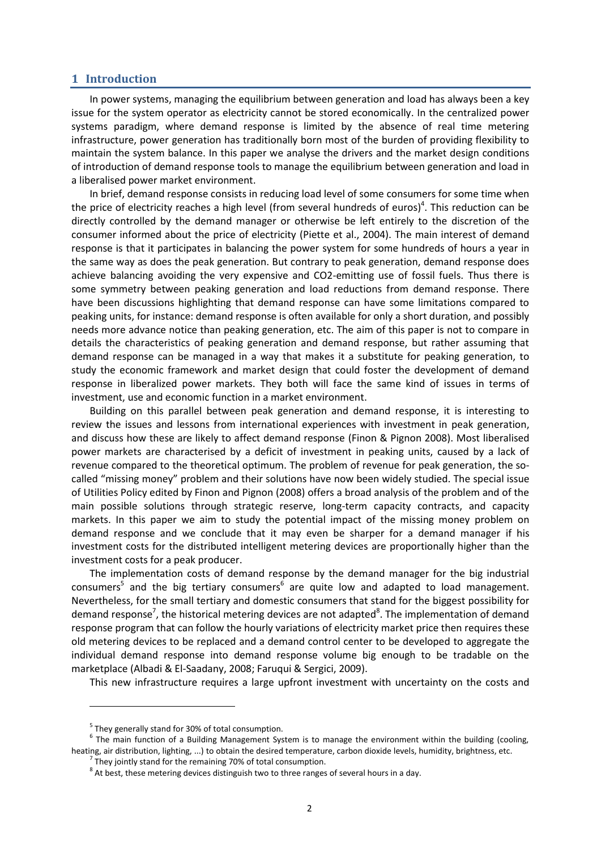## **1 Introduction**

In power systems, managing the equilibrium between generation and load has always been a key issue for the system operator as electricity cannot be stored economically. In the centralized power systems paradigm, where demand response is limited by the absence of real time metering infrastructure, power generation has traditionally born most of the burden of providing flexibility to maintain the system balance. In this paper we analyse the drivers and the market design conditions of introduction of demand response tools to manage the equilibrium between generation and load in a liberalised power market environment.

In brief, demand response consists in reducing load level of some consumers for some time when the price of electricity reaches a high level (from several hundreds of euros)<sup>4</sup>. This reduction can be directly controlled by the demand manager or otherwise be left entirely to the discretion of the consumer informed about the price of electricity (Piette et al., 2004). The main interest of demand response is that it participates in balancing the power system for some hundreds of hours a year in the same way as does the peak generation. But contrary to peak generation, demand response does achieve balancing avoiding the very expensive and CO2-emitting use of fossil fuels. Thus there is some symmetry between peaking generation and load reductions from demand response. There have been discussions highlighting that demand response can have some limitations compared to peaking units, for instance: demand response is often available for only a short duration, and possibly needs more advance notice than peaking generation, etc. The aim of this paper is not to compare in details the characteristics of peaking generation and demand response, but rather assuming that demand response can be managed in a way that makes it a substitute for peaking generation, to study the economic framework and market design that could foster the development of demand response in liberalized power markets. They both will face the same kind of issues in terms of investment, use and economic function in a market environment.

Building on this parallel between peak generation and demand response, it is interesting to review the issues and lessons from international experiences with investment in peak generation, and discuss how these are likely to affect demand response (Finon & Pignon 2008). Most liberalised power markets are characterised by a deficit of investment in peaking units, caused by a lack of revenue compared to the theoretical optimum. The problem of revenue for peak generation, the socalled "missing money" problem and their solutions have now been widely studied. The special issue of Utilities Policy edited by Finon and Pignon (2008) offers a broad analysis of the problem and of the main possible solutions through strategic reserve, long-term capacity contracts, and capacity markets. In this paper we aim to study the potential impact of the missing money problem on demand response and we conclude that it may even be sharper for a demand manager if his investment costs for the distributed intelligent metering devices are proportionally higher than the investment costs for a peak producer.

The implementation costs of demand response by the demand manager for the big industrial consumers<sup>5</sup> and the big tertiary consumers<sup>6</sup> are quite low and adapted to load management. Nevertheless, for the small tertiary and domestic consumers that stand for the biggest possibility for demand response<sup>7</sup>, the historical metering devices are not adapted<sup>8</sup>. The implementation of demand response program that can follow the hourly variations of electricity market price then requires these old metering devices to be replaced and a demand control center to be developed to aggregate the individual demand response into demand response volume big enough to be tradable on the marketplace (Albadi & El-Saadany, 2008; Faruqui & Sergici, 2009).

This new infrastructure requires a large upfront investment with uncertainty on the costs and

<sup>&</sup>lt;sup>5</sup> They generally stand for 30% of total consumption.

 $<sup>6</sup>$  The main function of a Building Management System is to manage the environment within the building (cooling,</sup> heating, air distribution, lighting, ...) to obtain the desired temperature, carbon dioxide levels, humidity, brightness, etc.

 $<sup>7</sup>$  They jointly stand for the remaining 70% of total consumption.</sup>

 $^8$  At best, these metering devices distinguish two to three ranges of several hours in a day.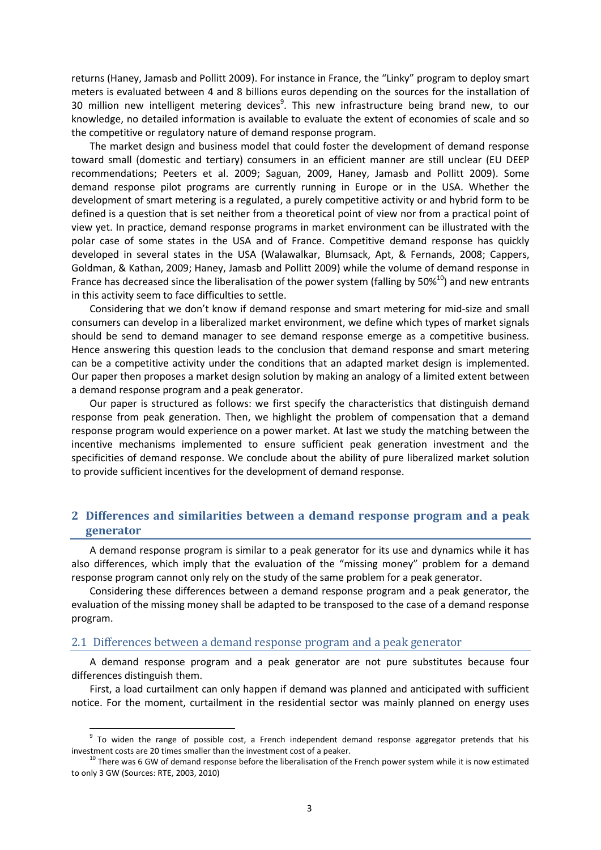returns (Haney, Jamasb and Pollitt 2009). For instance in France, the "Linky" program to deploy smart meters is evaluated between 4 and 8 billions euros depending on the sources for the installation of 30 million new intelligent metering devices<sup>9</sup>. This new infrastructure being brand new, to our knowledge, no detailed information is available to evaluate the extent of economies of scale and so the competitive or regulatory nature of demand response program.

The market design and business model that could foster the development of demand response toward small (domestic and tertiary) consumers in an efficient manner are still unclear (EU DEEP recommendations; Peeters et al. 2009; Saguan, 2009, Haney, Jamasb and Pollitt 2009). Some demand response pilot programs are currently running in Europe or in the USA. Whether the development of smart metering is a regulated, a purely competitive activity or and hybrid form to be defined is a question that is set neither from a theoretical point of view nor from a practical point of view yet. In practice, demand response programs in market environment can be illustrated with the polar case of some states in the USA and of France. Competitive demand response has quickly developed in several states in the USA (Walawalkar, Blumsack, Apt, & Fernands, 2008; Cappers, Goldman, & Kathan, 2009; Haney, Jamasb and Pollitt 2009) while the volume of demand response in France has decreased since the liberalisation of the power system (falling by  $50\%^{10}$ ) and new entrants in this activity seem to face difficulties to settle.

Considering that we don't know if demand response and smart metering for mid-size and small consumers can develop in a liberalized market environment, we define which types of market signals should be send to demand manager to see demand response emerge as a competitive business. Hence answering this question leads to the conclusion that demand response and smart metering can be a competitive activity under the conditions that an adapted market design is implemented. Our paper then proposes a market design solution by making an analogy of a limited extent between a demand response program and a peak generator.

Our paper is structured as follows: we first specify the characteristics that distinguish demand response from peak generation. Then, we highlight the problem of compensation that a demand response program would experience on a power market. At last we study the matching between the incentive mechanisms implemented to ensure sufficient peak generation investment and the specificities of demand response. We conclude about the ability of pure liberalized market solution to provide sufficient incentives for the development of demand response.

# **2 Differences and similarities between a demand response program and a peak generator**

A demand response program is similar to a peak generator for its use and dynamics while it has also differences, which imply that the evaluation of the "missing money" problem for a demand response program cannot only rely on the study of the same problem for a peak generator.

Considering these differences between a demand response program and a peak generator, the evaluation of the missing money shall be adapted to be transposed to the case of a demand response program.

## 2.1 Differences between a demand response program and a peak generator

**.** 

A demand response program and a peak generator are not pure substitutes because four differences distinguish them.

First, a load curtailment can only happen if demand was planned and anticipated with sufficient notice. For the moment, curtailment in the residential sector was mainly planned on energy uses

<sup>&</sup>lt;sup>9</sup> To widen the range of possible cost, a French independent demand response aggregator pretends that his investment costs are 20 times smaller than the investment cost of a peaker.

 $10$  There was 6 GW of demand response before the liberalisation of the French power system while it is now estimated to only 3 GW (Sources: RTE, 2003, 2010)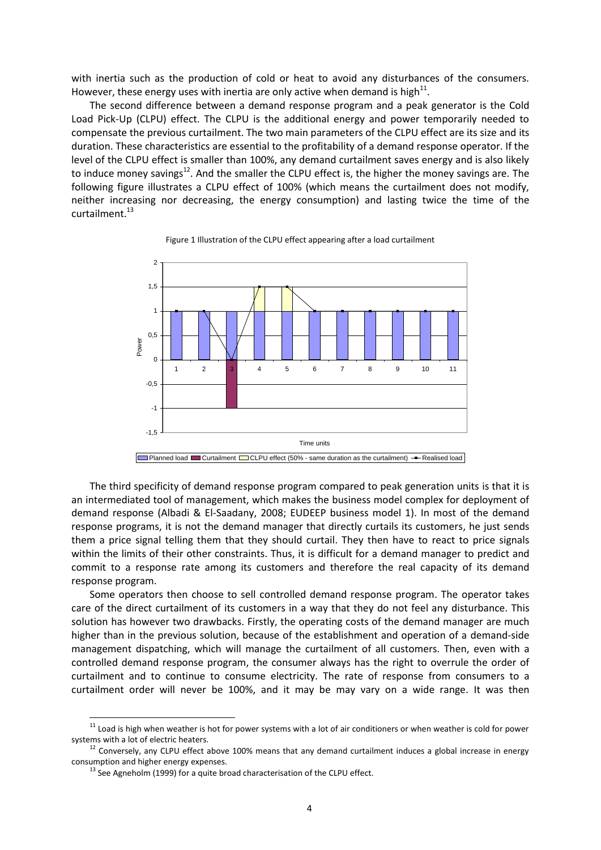with inertia such as the production of cold or heat to avoid any disturbances of the consumers. However, these energy uses with inertia are only active when demand is high<sup>11</sup>.

The second difference between a demand response program and a peak generator is the Cold Load Pick-Up (CLPU) effect. The CLPU is the additional energy and power temporarily needed to compensate the previous curtailment. The two main parameters of the CLPU effect are its size and its duration. These characteristics are essential to the profitability of a demand response operator. If the level of the CLPU effect is smaller than 100%, any demand curtailment saves energy and is also likely to induce money savings<sup>12</sup>. And the smaller the CLPU effect is, the higher the money savings are. The following figure illustrates a CLPU effect of 100% (which means the curtailment does not modify, neither increasing nor decreasing, the energy consumption) and lasting twice the time of the curtailment. $^{13}$ 





The third specificity of demand response program compared to peak generation units is that it is an intermediated tool of management, which makes the business model complex for deployment of demand response (Albadi & El-Saadany, 2008; EUDEEP business model 1). In most of the demand response programs, it is not the demand manager that directly curtails its customers, he just sends them a price signal telling them that they should curtail. They then have to react to price signals within the limits of their other constraints. Thus, it is difficult for a demand manager to predict and commit to a response rate among its customers and therefore the real capacity of its demand response program.

Some operators then choose to sell controlled demand response program. The operator takes care of the direct curtailment of its customers in a way that they do not feel any disturbance. This solution has however two drawbacks. Firstly, the operating costs of the demand manager are much higher than in the previous solution, because of the establishment and operation of a demand-side management dispatching, which will manage the curtailment of all customers. Then, even with a controlled demand response program, the consumer always has the right to overrule the order of curtailment and to continue to consume electricity. The rate of response from consumers to a curtailment order will never be 100%, and it may be may vary on a wide range. It was then

<sup>&</sup>lt;sup>11</sup> Load is high when weather is hot for power systems with a lot of air conditioners or when weather is cold for power systems with a lot of electric heaters.

 $12$  Conversely, any CLPU effect above 100% means that any demand curtailment induces a global increase in energy consumption and higher energy expenses.

 $13$  See Agneholm (1999) for a quite broad characterisation of the CLPU effect.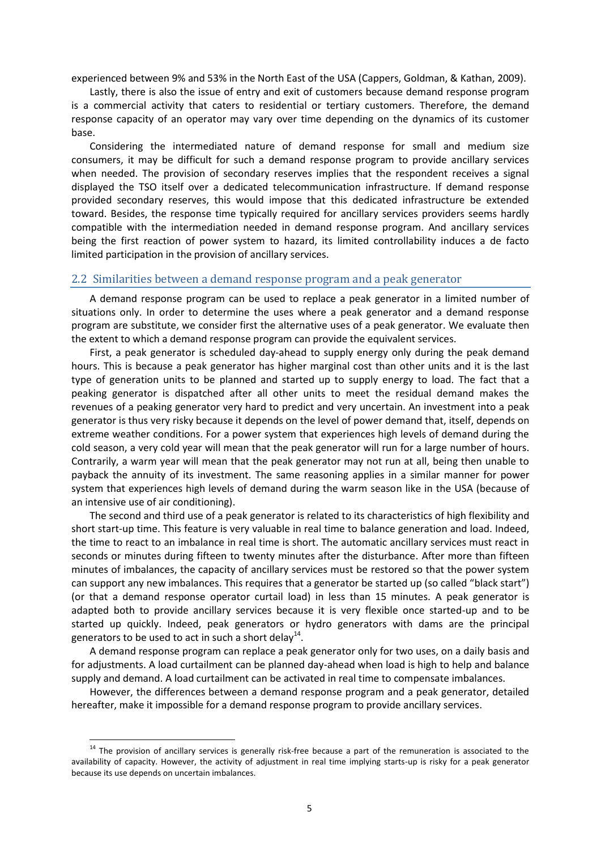experienced between 9% and 53% in the North East of the USA (Cappers, Goldman, & Kathan, 2009).

Lastly, there is also the issue of entry and exit of customers because demand response program is a commercial activity that caters to residential or tertiary customers. Therefore, the demand response capacity of an operator may vary over time depending on the dynamics of its customer base.

Considering the intermediated nature of demand response for small and medium size consumers, it may be difficult for such a demand response program to provide ancillary services when needed. The provision of secondary reserves implies that the respondent receives a signal displayed the TSO itself over a dedicated telecommunication infrastructure. If demand response provided secondary reserves, this would impose that this dedicated infrastructure be extended toward. Besides, the response time typically required for ancillary services providers seems hardly compatible with the intermediation needed in demand response program. And ancillary services being the first reaction of power system to hazard, its limited controllability induces a de facto limited participation in the provision of ancillary services.

## 2.2 Similarities between a demand response program and a peak generator

A demand response program can be used to replace a peak generator in a limited number of situations only. In order to determine the uses where a peak generator and a demand response program are substitute, we consider first the alternative uses of a peak generator. We evaluate then the extent to which a demand response program can provide the equivalent services.

First, a peak generator is scheduled day-ahead to supply energy only during the peak demand hours. This is because a peak generator has higher marginal cost than other units and it is the last type of generation units to be planned and started up to supply energy to load. The fact that a peaking generator is dispatched after all other units to meet the residual demand makes the revenues of a peaking generator very hard to predict and very uncertain. An investment into a peak generator is thus very risky because it depends on the level of power demand that, itself, depends on extreme weather conditions. For a power system that experiences high levels of demand during the cold season, a very cold year will mean that the peak generator will run for a large number of hours. Contrarily, a warm year will mean that the peak generator may not run at all, being then unable to payback the annuity of its investment. The same reasoning applies in a similar manner for power system that experiences high levels of demand during the warm season like in the USA (because of an intensive use of air conditioning).

The second and third use of a peak generator is related to its characteristics of high flexibility and short start-up time. This feature is very valuable in real time to balance generation and load. Indeed, the time to react to an imbalance in real time is short. The automatic ancillary services must react in seconds or minutes during fifteen to twenty minutes after the disturbance. After more than fifteen minutes of imbalances, the capacity of ancillary services must be restored so that the power system can support any new imbalances. This requires that a generator be started up (so called "black start") (or that a demand response operator curtail load) in less than 15 minutes. A peak generator is adapted both to provide ancillary services because it is very flexible once started-up and to be started up quickly. Indeed, peak generators or hydro generators with dams are the principal generators to be used to act in such a short delay $^{14}$ .

A demand response program can replace a peak generator only for two uses, on a daily basis and for adjustments. A load curtailment can be planned day-ahead when load is high to help and balance supply and demand. A load curtailment can be activated in real time to compensate imbalances.

However, the differences between a demand response program and a peak generator, detailed hereafter, make it impossible for a demand response program to provide ancillary services.

 $14$  The provision of ancillary services is generally risk-free because a part of the remuneration is associated to the availability of capacity. However, the activity of adjustment in real time implying starts-up is risky for a peak generator because its use depends on uncertain imbalances.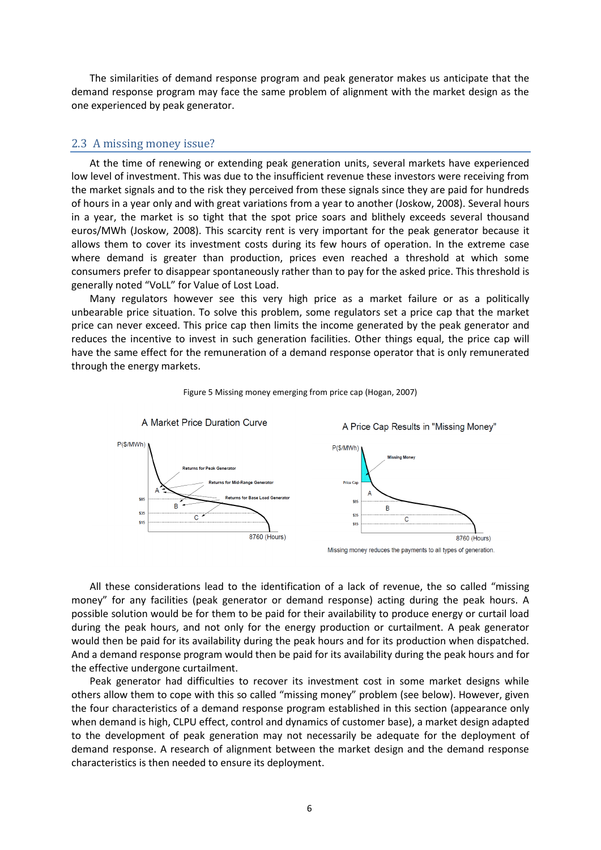The similarities of demand response program and peak generator makes us anticipate that the demand response program may face the same problem of alignment with the market design as the one experienced by peak generator.

## 2.3 A missing money issue?

At the time of renewing or extending peak generation units, several markets have experienced low level of investment. This was due to the insufficient revenue these investors were receiving from the market signals and to the risk they perceived from these signals since they are paid for hundreds of hours in a year only and with great variations from a year to another (Joskow, 2008). Several hours in a year, the market is so tight that the spot price soars and blithely exceeds several thousand euros/MWh (Joskow, 2008). This scarcity rent is very important for the peak generator because it allows them to cover its investment costs during its few hours of operation. In the extreme case where demand is greater than production, prices even reached a threshold at which some consumers prefer to disappear spontaneously rather than to pay for the asked price. This threshold is generally noted "VoLL" for Value of Lost Load.

Many regulators however see this very high price as a market failure or as a politically unbearable price situation. To solve this problem, some regulators set a price cap that the market price can never exceed. This price cap then limits the income generated by the peak generator and reduces the incentive to invest in such generation facilities. Other things equal, the price cap will have the same effect for the remuneration of a demand response operator that is only remunerated through the energy markets.





All these considerations lead to the identification of a lack of revenue, the so called "missing money" for any facilities (peak generator or demand response) acting during the peak hours. A possible solution would be for them to be paid for their availability to produce energy or curtail load during the peak hours, and not only for the energy production or curtailment. A peak generator would then be paid for its availability during the peak hours and for its production when dispatched. And a demand response program would then be paid for its availability during the peak hours and for the effective undergone curtailment.

Peak generator had difficulties to recover its investment cost in some market designs while others allow them to cope with this so called "missing money" problem (see below). However, given the four characteristics of a demand response program established in this section (appearance only when demand is high, CLPU effect, control and dynamics of customer base), a market design adapted to the development of peak generation may not necessarily be adequate for the deployment of demand response. A research of alignment between the market design and the demand response characteristics is then needed to ensure its deployment.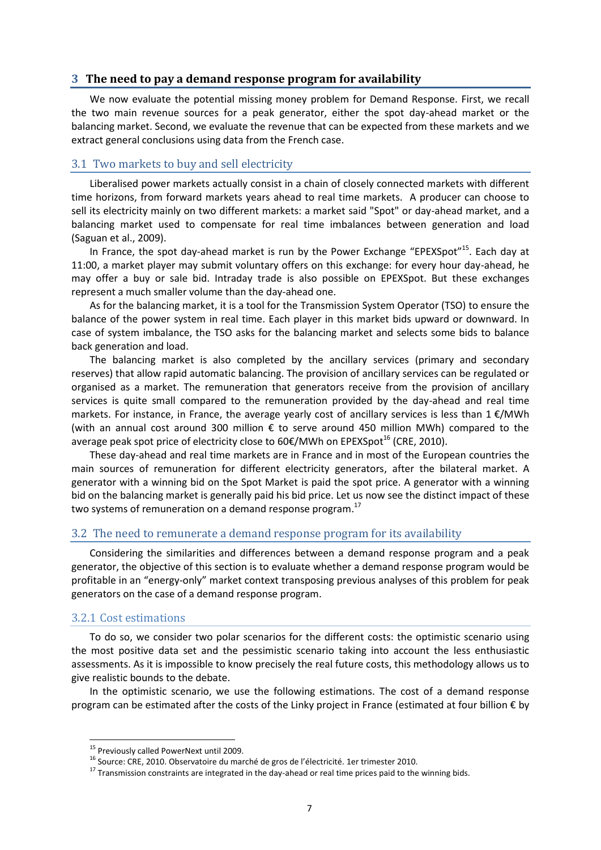## **3 The need to pay a demand response program for availability**

We now evaluate the potential missing money problem for Demand Response. First, we recall the two main revenue sources for a peak generator, either the spot day-ahead market or the balancing market. Second, we evaluate the revenue that can be expected from these markets and we extract general conclusions using data from the French case.

## 3.1 Two markets to buy and sell electricity

Liberalised power markets actually consist in a chain of closely connected markets with different time horizons, from forward markets years ahead to real time markets. A producer can choose to sell its electricity mainly on two different markets: a market said "Spot" or day-ahead market, and a balancing market used to compensate for real time imbalances between generation and load (Saguan et al., 2009).

In France, the spot day-ahead market is run by the Power Exchange "EPEXSpot"<sup>15</sup>. Each day at 11:00, a market player may submit voluntary offers on this exchange: for every hour day-ahead, he may offer a buy or sale bid. Intraday trade is also possible on EPEXSpot. But these exchanges represent a much smaller volume than the day-ahead one.

As for the balancing market, it is a tool for the Transmission System Operator (TSO) to ensure the balance of the power system in real time. Each player in this market bids upward or downward. In case of system imbalance, the TSO asks for the balancing market and selects some bids to balance back generation and load.

The balancing market is also completed by the ancillary services (primary and secondary reserves) that allow rapid automatic balancing. The provision of ancillary services can be regulated or organised as a market. The remuneration that generators receive from the provision of ancillary services is quite small compared to the remuneration provided by the day-ahead and real time markets. For instance, in France, the average yearly cost of ancillary services is less than 1 €/MWh (with an annual cost around 300 million € to serve around 450 million MWh) compared to the average peak spot price of electricity close to  $60 \epsilon /$ MWh on EPEXSpot<sup>16</sup> (CRE, 2010).

These day-ahead and real time markets are in France and in most of the European countries the main sources of remuneration for different electricity generators, after the bilateral market. A generator with a winning bid on the Spot Market is paid the spot price. A generator with a winning bid on the balancing market is generally paid his bid price. Let us now see the distinct impact of these two systems of remuneration on a demand response program.<sup>17</sup>

# 3.2 The need to remunerate a demand response program for its availability

Considering the similarities and differences between a demand response program and a peak generator, the objective of this section is to evaluate whether a demand response program would be profitable in an "energy-only" market context transposing previous analyses of this problem for peak generators on the case of a demand response program.

## 3.2.1 Cost estimations

 $\overline{a}$ 

To do so, we consider two polar scenarios for the different costs: the optimistic scenario using the most positive data set and the pessimistic scenario taking into account the less enthusiastic assessments. As it is impossible to know precisely the real future costs, this methodology allows us to give realistic bounds to the debate.

In the optimistic scenario, we use the following estimations. The cost of a demand response program can be estimated after the costs of the Linky project in France (estimated at four billion € by

<sup>&</sup>lt;sup>15</sup> Previously called PowerNext until 2009.

<sup>&</sup>lt;sup>16</sup> Source: CRE, 2010. Observatoire du marché de gros de l'électricité. 1er trimester 2010.

<sup>&</sup>lt;sup>17</sup> Transmission constraints are integrated in the day-ahead or real time prices paid to the winning bids.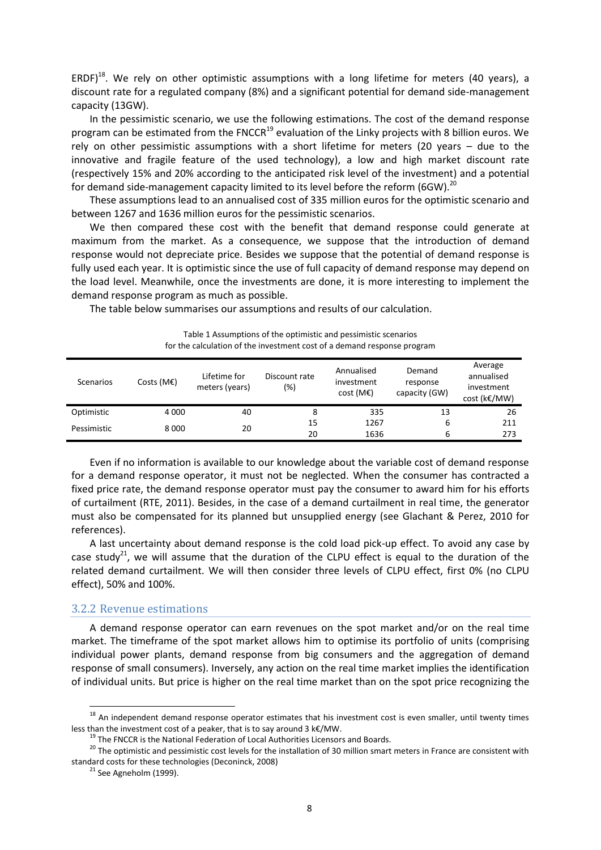ERDF) $^{18}$ . We rely on other optimistic assumptions with a long lifetime for meters (40 years), a discount rate for a regulated company (8%) and a significant potential for demand side-management capacity (13GW).

In the pessimistic scenario, we use the following estimations. The cost of the demand response program can be estimated from the FNCCR<sup>19</sup> evaluation of the Linky projects with 8 billion euros. We rely on other pessimistic assumptions with a short lifetime for meters (20 years – due to the innovative and fragile feature of the used technology), a low and high market discount rate (respectively 15% and 20% according to the anticipated risk level of the investment) and a potential for demand side-management capacity limited to its level before the reform (6GW).<sup>20</sup>

These assumptions lead to an annualised cost of 335 million euros for the optimistic scenario and between 1267 and 1636 million euros for the pessimistic scenarios.

We then compared these cost with the benefit that demand response could generate at maximum from the market. As a consequence, we suppose that the introduction of demand response would not depreciate price. Besides we suppose that the potential of demand response is fully used each year. It is optimistic since the use of full capacity of demand response may depend on the load level. Meanwhile, once the investments are done, it is more interesting to implement the demand response program as much as possible.

The table below summarises our assumptions and results of our calculation.

| <b>Scenarios</b> | Costs ( $M\epsilon$ ) | Lifetime for<br>meters (years) | Discount rate<br>(%) | Annualised<br>investment<br>cost(ME) | Demand<br>response<br>capacity (GW) | Average<br>annualised<br>investment<br>cost (k€/MW) |
|------------------|-----------------------|--------------------------------|----------------------|--------------------------------------|-------------------------------------|-----------------------------------------------------|
| Optimistic       | 4 0 0 0               | 40                             | 8                    | 335                                  | 13                                  | 26                                                  |
| Pessimistic      | 8000                  | 20                             | 15                   | 1267                                 | 6                                   | 211                                                 |
|                  |                       |                                | 20                   | 1636                                 | 6                                   | 273                                                 |

Table 1 Assumptions of the optimistic and pessimistic scenarios for the calculation of the investment cost of a demand response program

Even if no information is available to our knowledge about the variable cost of demand response for a demand response operator, it must not be neglected. When the consumer has contracted a fixed price rate, the demand response operator must pay the consumer to award him for his efforts of curtailment (RTE, 2011). Besides, in the case of a demand curtailment in real time, the generator must also be compensated for its planned but unsupplied energy (see Glachant & Perez, 2010 for references).

A last uncertainty about demand response is the cold load pick-up effect. To avoid any case by case study<sup>21</sup>, we will assume that the duration of the CLPU effect is equal to the duration of the related demand curtailment. We will then consider three levels of CLPU effect, first 0% (no CLPU effect), 50% and 100%.

## 3.2.2 Revenue estimations

A demand response operator can earn revenues on the spot market and/or on the real time market. The timeframe of the spot market allows him to optimise its portfolio of units (comprising individual power plants, demand response from big consumers and the aggregation of demand response of small consumers). Inversely, any action on the real time market implies the identification of individual units. But price is higher on the real time market than on the spot price recognizing the

 $18$  An independent demand response operator estimates that his investment cost is even smaller, until twenty times less than the investment cost of a peaker, that is to say around 3 k€/MW.

<sup>&</sup>lt;sup>19</sup> The FNCCR is the National Federation of Local Authorities Licensors and Boards.

<sup>&</sup>lt;sup>20</sup> The optimistic and pessimistic cost levels for the installation of 30 million smart meters in France are consistent with standard costs for these technologies (Deconinck, 2008)

 $21$  See Agneholm (1999).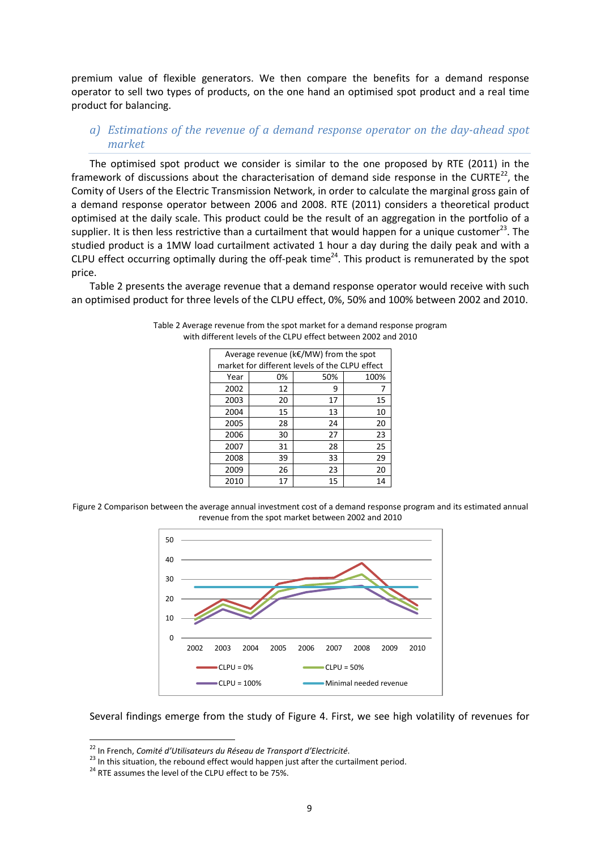premium value of flexible generators. We then compare the benefits for a demand response operator to sell two types of products, on the one hand an optimised spot product and a real time product for balancing.

*a) Estimations of the revenue of a demand response operator on the day-ahead spot market* 

The optimised spot product we consider is similar to the one proposed by RTE (2011) in the framework of discussions about the characterisation of demand side response in the CURTE $^{22}$ , the Comity of Users of the Electric Transmission Network, in order to calculate the marginal gross gain of a demand response operator between 2006 and 2008. RTE (2011) considers a theoretical product optimised at the daily scale. This product could be the result of an aggregation in the portfolio of a supplier. It is then less restrictive than a curtailment that would happen for a unique customer<sup>23</sup>. The studied product is a 1MW load curtailment activated 1 hour a day during the daily peak and with a CLPU effect occurring optimally during the off-peak time<sup>24</sup>. This product is remunerated by the spot price.

Table 2 presents the average revenue that a demand response operator would receive with such an optimised product for three levels of the CLPU effect, 0%, 50% and 100% between 2002 and 2010.

| Average revenue ( $k \in$ /MW) from the spot |                                                |     |      |  |  |
|----------------------------------------------|------------------------------------------------|-----|------|--|--|
|                                              | market for different levels of the CLPU effect |     |      |  |  |
| Year                                         | 0%                                             | 50% | 100% |  |  |
| 2002                                         | 12                                             | 9   | 7    |  |  |
| 2003                                         | 20                                             | 17  | 15   |  |  |
| 2004                                         | 15                                             | 13  | 10   |  |  |
| 2005                                         | 28                                             | 24  | 20   |  |  |
| 2006                                         | 30                                             | 27  | 23   |  |  |
| 2007                                         | 31                                             | 28  | 25   |  |  |
| 2008                                         | 39                                             | 33  | 29   |  |  |
| 2009                                         | 26                                             | 23  | 20   |  |  |
| 2010                                         | 17                                             | 15  | 14   |  |  |

Table 2 Average revenue from the spot market for a demand response program with different levels of the CLPU effect between 2002 and 2010

Figure 2 Comparison between the average annual investment cost of a demand response program and its estimated annual revenue from the spot market between 2002 and 2010



Several findings emerge from the study of Figure 4. First, we see high volatility of revenues for

<sup>22</sup> In French, *Comité d'Utilisateurs du Réseau de Transport d'Electricité*.

<sup>&</sup>lt;sup>23</sup> In this situation, the rebound effect would happen just after the curtailment period.

<sup>&</sup>lt;sup>24</sup> RTE assumes the level of the CLPU effect to be 75%.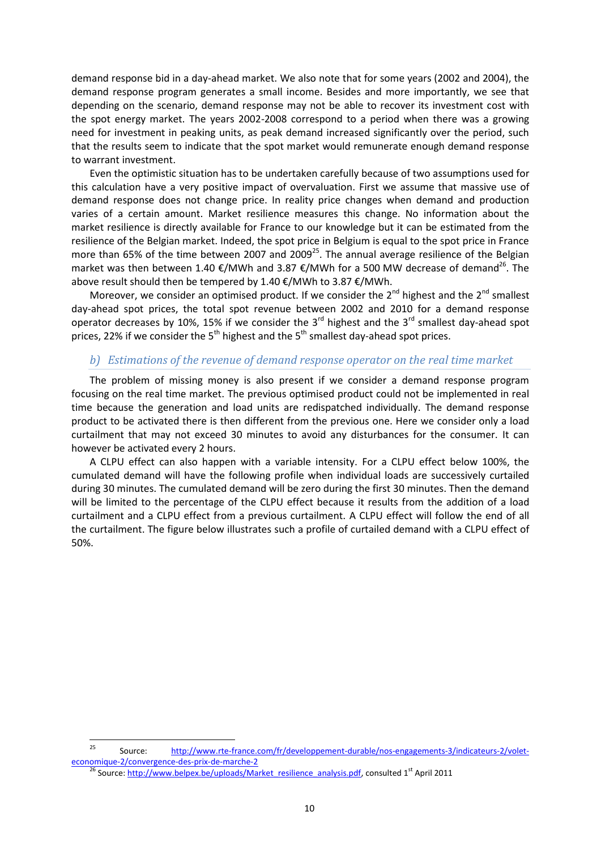demand response bid in a day-ahead market. We also note that for some years (2002 and 2004), the demand response program generates a small income. Besides and more importantly, we see that depending on the scenario, demand response may not be able to recover its investment cost with the spot energy market. The years 2002-2008 correspond to a period when there was a growing need for investment in peaking units, as peak demand increased significantly over the period, such that the results seem to indicate that the spot market would remunerate enough demand response to warrant investment.

Even the optimistic situation has to be undertaken carefully because of two assumptions used for this calculation have a very positive impact of overvaluation. First we assume that massive use of demand response does not change price. In reality price changes when demand and production varies of a certain amount. Market resilience measures this change. No information about the market resilience is directly available for France to our knowledge but it can be estimated from the resilience of the Belgian market. Indeed, the spot price in Belgium is equal to the spot price in France more than 65% of the time between 2007 and 2009<sup>25</sup>. The annual average resilience of the Belgian market was then between 1.40 €/MWh and 3.87 €/MWh for a 500 MW decrease of demand<sup>26</sup>. The above result should then be tempered by 1.40 €/MWh to 3.87 €/MWh.

Moreover, we consider an optimised product. If we consider the  $2^{nd}$  highest and the  $2^{nd}$  smallest day-ahead spot prices, the total spot revenue between 2002 and 2010 for a demand response operator decreases by 10%, 15% if we consider the 3 $^{rd}$  highest and the 3 $^{rd}$  smallest day-ahead spot prices, 22% if we consider the  $5<sup>th</sup>$  highest and the  $5<sup>th</sup>$  smallest day-ahead spot prices.

# *b) Estimations of the revenue of demand response operator on the real time market*

The problem of missing money is also present if we consider a demand response program focusing on the real time market. The previous optimised product could not be implemented in real time because the generation and load units are redispatched individually. The demand response product to be activated there is then different from the previous one. Here we consider only a load curtailment that may not exceed 30 minutes to avoid any disturbances for the consumer. It can however be activated every 2 hours.

A CLPU effect can also happen with a variable intensity. For a CLPU effect below 100%, the cumulated demand will have the following profile when individual loads are successively curtailed during 30 minutes. The cumulated demand will be zero during the first 30 minutes. Then the demand will be limited to the percentage of the CLPU effect because it results from the addition of a load curtailment and a CLPU effect from a previous curtailment. A CLPU effect will follow the end of all the curtailment. The figure below illustrates such a profile of curtailed demand with a CLPU effect of 50%.

<sup>25</sup> <sup>25</sup> Source: [http://www.rte-france.com/fr/developpement-durable/nos-engagements-3/indicateurs-2/volet](http://www.rte-france.com/fr/developpement-durable/nos-engagements-3/indicateurs-2/volet-economique-2/convergence-des-prix-de-marche-2)[economique-2/convergence-des-prix-de-marche-2](http://www.rte-france.com/fr/developpement-durable/nos-engagements-3/indicateurs-2/volet-economique-2/convergence-des-prix-de-marche-2)

 $\frac{26}{6}$  Source[: http://www.belpex.be/uploads/Market\\_resilience\\_analysis.pdf,](http://www.belpex.be/uploads/Market_resilience_analysis.pdf) consulted 1st April 2011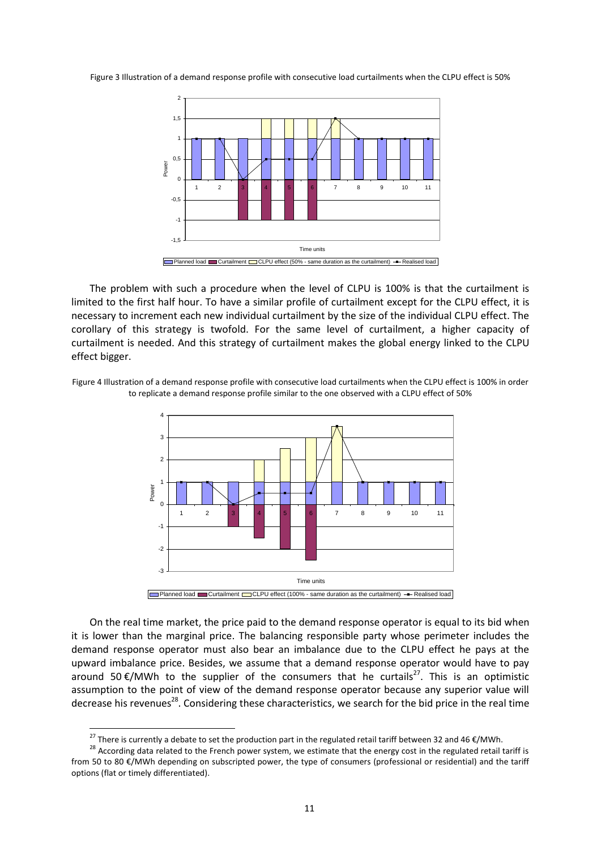Figure 3 Illustration of a demand response profile with consecutive load curtailments when the CLPU effect is 50%



The problem with such a procedure when the level of CLPU is 100% is that the curtailment is limited to the first half hour. To have a similar profile of curtailment except for the CLPU effect, it is necessary to increment each new individual curtailment by the size of the individual CLPU effect. The corollary of this strategy is twofold. For the same level of curtailment, a higher capacity of curtailment is needed. And this strategy of curtailment makes the global energy linked to the CLPU effect bigger.

Figure 4 Illustration of a demand response profile with consecutive load curtailments when the CLPU effect is 100% in order to replicate a demand response profile similar to the one observed with a CLPU effect of 50%



On the real time market, the price paid to the demand response operator is equal to its bid when it is lower than the marginal price. The balancing responsible party whose perimeter includes the demand response operator must also bear an imbalance due to the CLPU effect he pays at the upward imbalance price. Besides, we assume that a demand response operator would have to pay around 50 $\epsilon$ /MWh to the supplier of the consumers that he curtails<sup>27</sup>. This is an optimistic assumption to the point of view of the demand response operator because any superior value will decrease his revenues<sup>28</sup>. Considering these characteristics, we search for the bid price in the real time

<sup>&</sup>lt;sup>27</sup> There is currently a debate to set the production part in the regulated retail tariff between 32 and 46 €/MWh.

<sup>&</sup>lt;sup>28</sup> According data related to the French power system, we estimate that the energy cost in the regulated retail tariff is from 50 to 80 €/MWh depending on subscripted power, the type of consumers (professional or residential) and the tariff options (flat or timely differentiated).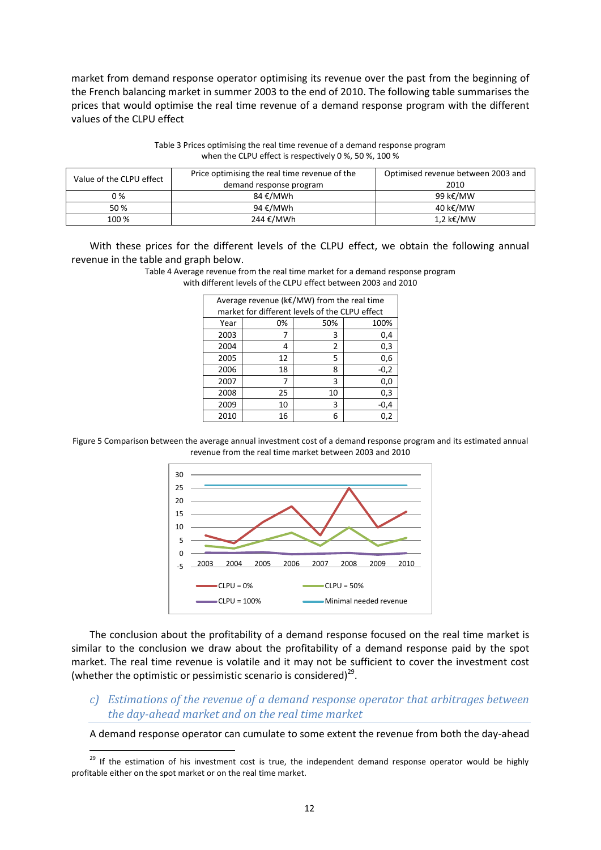market from demand response operator optimising its revenue over the past from the beginning of the French balancing market in summer 2003 to the end of 2010. The following table summarises the prices that would optimise the real time revenue of a demand response program with the different values of the CLPU effect

| Value of the CLPU effect | Price optimising the real time revenue of the<br>demand response program | Optimised revenue between 2003 and<br>2010 |
|--------------------------|--------------------------------------------------------------------------|--------------------------------------------|
| 0 %                      | 84 €/MWh                                                                 | 99 k€/MW                                   |
| 50 %                     | 94 €/MWh                                                                 | 40 k€/MW                                   |
| 100 %                    | 244 €/MWh                                                                | 1,2 k€/MW                                  |

Table 3 Prices optimising the real time revenue of a demand response program when the CLPU effect is respectively 0 %, 50 %, 100 %

With these prices for the different levels of the CLPU effect, we obtain the following annual revenue in the table and graph below.

> Table 4 Average revenue from the real time market for a demand response program with different levels of the CLPU effect between 2003 and 2010

| Average revenue (k€/MW) from the real time |                                                |     |        |  |
|--------------------------------------------|------------------------------------------------|-----|--------|--|
|                                            | market for different levels of the CLPU effect |     |        |  |
| Year                                       | 0%                                             | 50% | 100%   |  |
| 2003                                       | 7                                              | 3   | 0,4    |  |
| 2004                                       | 4                                              | 2   | 0,3    |  |
| 2005                                       | 12                                             | 5   | 0,6    |  |
| 2006                                       | 18                                             | 8   | $-0,2$ |  |
| 2007                                       | 7                                              | 3   | 0,0    |  |
| 2008                                       | 25                                             | 10  | 0,3    |  |
| 2009                                       | 10                                             | 3   | $-0,4$ |  |
| 2010                                       | 16                                             | 6   | 0,2    |  |

Figure 5 Comparison between the average annual investment cost of a demand response program and its estimated annual revenue from the real time market between 2003 and 2010



The conclusion about the profitability of a demand response focused on the real time market is similar to the conclusion we draw about the profitability of a demand response paid by the spot market. The real time revenue is volatile and it may not be sufficient to cover the investment cost (whether the optimistic or pessimistic scenario is considered) $^{29}$ .

*c) Estimations of the revenue of a demand response operator that arbitrages between the day-ahead market and on the real time market*

A demand response operator can cumulate to some extent the revenue from both the day-ahead

<sup>&</sup>lt;sup>29</sup> If the estimation of his investment cost is true, the independent demand response operator would be highly profitable either on the spot market or on the real time market.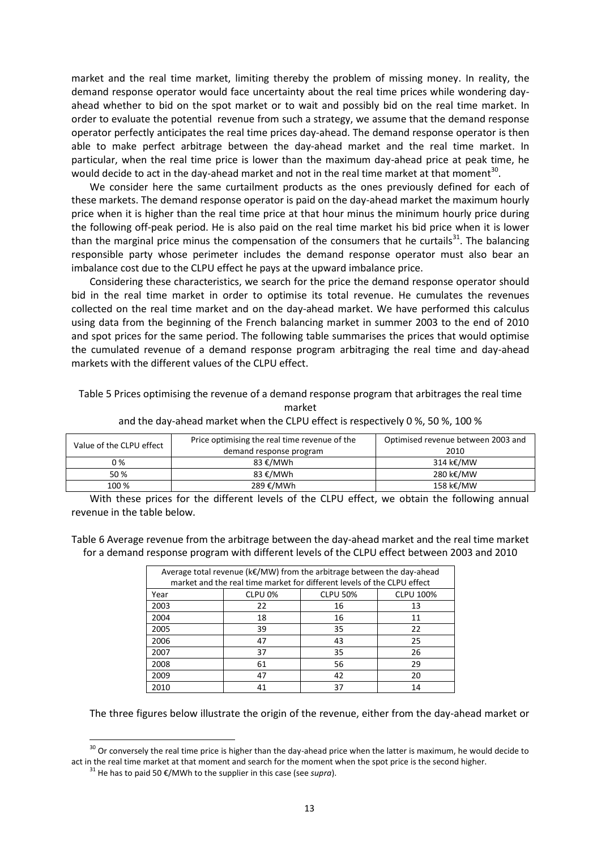market and the real time market, limiting thereby the problem of missing money. In reality, the demand response operator would face uncertainty about the real time prices while wondering dayahead whether to bid on the spot market or to wait and possibly bid on the real time market. In order to evaluate the potential revenue from such a strategy, we assume that the demand response operator perfectly anticipates the real time prices day-ahead. The demand response operator is then able to make perfect arbitrage between the day-ahead market and the real time market. In particular, when the real time price is lower than the maximum day-ahead price at peak time, he would decide to act in the day-ahead market and not in the real time market at that moment<sup>30</sup>.

We consider here the same curtailment products as the ones previously defined for each of these markets. The demand response operator is paid on the day-ahead market the maximum hourly price when it is higher than the real time price at that hour minus the minimum hourly price during the following off-peak period. He is also paid on the real time market his bid price when it is lower than the marginal price minus the compensation of the consumers that he curtails<sup>31</sup>. The balancing responsible party whose perimeter includes the demand response operator must also bear an imbalance cost due to the CLPU effect he pays at the upward imbalance price.

Considering these characteristics, we search for the price the demand response operator should bid in the real time market in order to optimise its total revenue. He cumulates the revenues collected on the real time market and on the day-ahead market. We have performed this calculus using data from the beginning of the French balancing market in summer 2003 to the end of 2010 and spot prices for the same period. The following table summarises the prices that would optimise the cumulated revenue of a demand response program arbitraging the real time and day-ahead markets with the different values of the CLPU effect.

Table 5 Prices optimising the revenue of a demand response program that arbitrages the real time market

|  |  | and the day-ahead market when the CLPU effect is respectively 0 %, 50 %, 100 % |
|--|--|--------------------------------------------------------------------------------|
|--|--|--------------------------------------------------------------------------------|

| Value of the CLPU effect | Price optimising the real time revenue of the | Optimised revenue between 2003 and |  |
|--------------------------|-----------------------------------------------|------------------------------------|--|
|                          | demand response program                       | 2010                               |  |
| 0 %                      | 83 €/MWh                                      | 314 k€/MW                          |  |
| 50 %                     | 83 €/MWh                                      | 280 k€/MW                          |  |
| 100 %                    | 289 €/MWh                                     | 158 k€/MW                          |  |

With these prices for the different levels of the CLPU effect, we obtain the following annual revenue in the table below.

Table 6 Average revenue from the arbitrage between the day-ahead market and the real time market for a demand response program with different levels of the CLPU effect between 2003 and 2010

| Average total revenue ( $k \in$ /MW) from the arbitrage between the day-ahead<br>market and the real time market for different levels of the CLPU effect |                    |                 |                  |  |
|----------------------------------------------------------------------------------------------------------------------------------------------------------|--------------------|-----------------|------------------|--|
| Year                                                                                                                                                     | CLPU <sub>0%</sub> | <b>CLPU 50%</b> | <b>CLPU 100%</b> |  |
| 2003                                                                                                                                                     | 22                 | 16              | 13               |  |
| 2004                                                                                                                                                     | 18                 | 16              | 11               |  |
| 2005                                                                                                                                                     | 39                 | 35              | 22               |  |
| 2006                                                                                                                                                     | 47                 | 43              | 25               |  |
| 2007                                                                                                                                                     | 37                 | 35              | 26               |  |
| 2008                                                                                                                                                     | 61                 | 56              | 29               |  |
| 2009                                                                                                                                                     | 47                 | 42              | 20               |  |
| 2010                                                                                                                                                     | 41                 | 37              | 14               |  |

The three figures below illustrate the origin of the revenue, either from the day-ahead market or

 $30$  Or conversely the real time price is higher than the day-ahead price when the latter is maximum, he would decide to act in the real time market at that moment and search for the moment when the spot price is the second higher.

<sup>31</sup> He has to paid 50 €/MWh to the supplier in this case (see *supra*).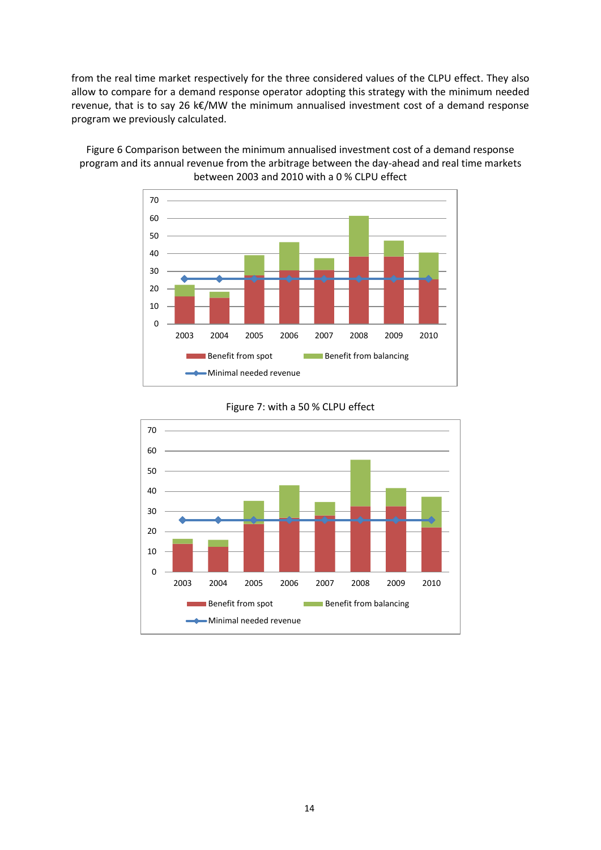from the real time market respectively for the three considered values of the CLPU effect. They also allow to compare for a demand response operator adopting this strategy with the minimum needed revenue, that is to say 26 k€/MW the minimum annualised investment cost of a demand response program we previously calculated.

Figure 6 Comparison between the minimum annualised investment cost of a demand response program and its annual revenue from the arbitrage between the day-ahead and real time markets between 2003 and 2010 with a 0 % CLPU effect





# Figure 7: with a 50 % CLPU effect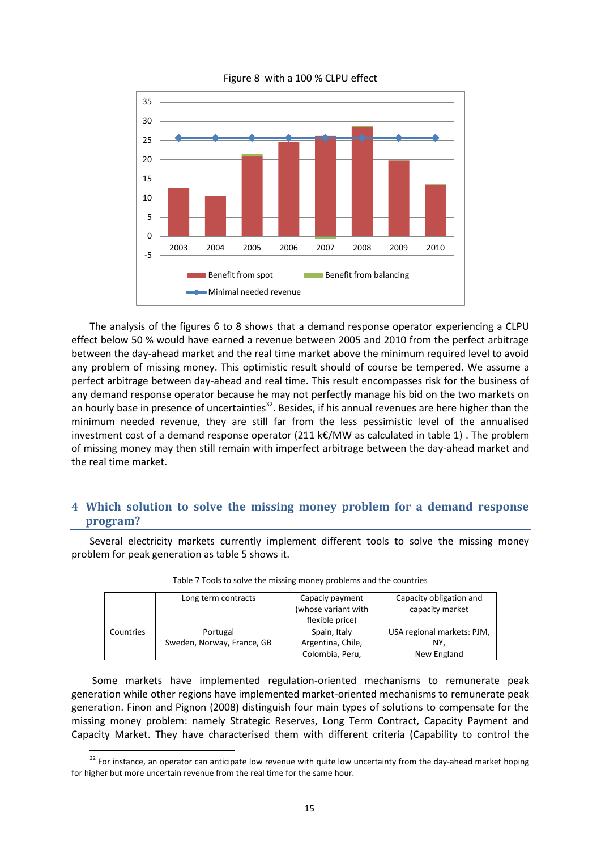

Figure 8 with a 100 % CLPU effect

The analysis of the figures 6 to 8 shows that a demand response operator experiencing a CLPU effect below 50 % would have earned a revenue between 2005 and 2010 from the perfect arbitrage between the day-ahead market and the real time market above the minimum required level to avoid any problem of missing money. This optimistic result should of course be tempered. We assume a perfect arbitrage between day-ahead and real time. This result encompasses risk for the business of any demand response operator because he may not perfectly manage his bid on the two markets on an hourly base in presence of uncertainties<sup>32</sup>. Besides, if his annual revenues are here higher than the minimum needed revenue, they are still far from the less pessimistic level of the annualised investment cost of a demand response operator (211 k $\epsilon$ /MW as calculated in table 1). The problem of missing money may then still remain with imperfect arbitrage between the day-ahead market and the real time market.

# **4 Which solution to solve the missing money problem for a demand response program?**

Several electricity markets currently implement different tools to solve the missing money problem for peak generation as table 5 shows it.

|           | Long term contracts        | Capaciy payment<br>(whose variant with<br>flexible price) | Capacity obligation and<br>capacity market |
|-----------|----------------------------|-----------------------------------------------------------|--------------------------------------------|
| Countries | Portugal                   | Spain, Italy                                              | USA regional markets: PJM,                 |
|           | Sweden, Norway, France, GB | Argentina, Chile,                                         | NY.                                        |
|           |                            | Colombia, Peru,                                           | New England                                |

| Table 7 Tools to solve the missing money problems and the countries |
|---------------------------------------------------------------------|
|---------------------------------------------------------------------|

Some markets have implemented regulation-oriented mechanisms to remunerate peak generation while other regions have implemented market-oriented mechanisms to remunerate peak generation. Finon and Pignon (2008) distinguish four main types of solutions to compensate for the missing money problem: namely Strategic Reserves, Long Term Contract, Capacity Payment and Capacity Market. They have characterised them with different criteria (Capability to control the

 $32$  For instance, an operator can anticipate low revenue with quite low uncertainty from the day-ahead market hoping for higher but more uncertain revenue from the real time for the same hour.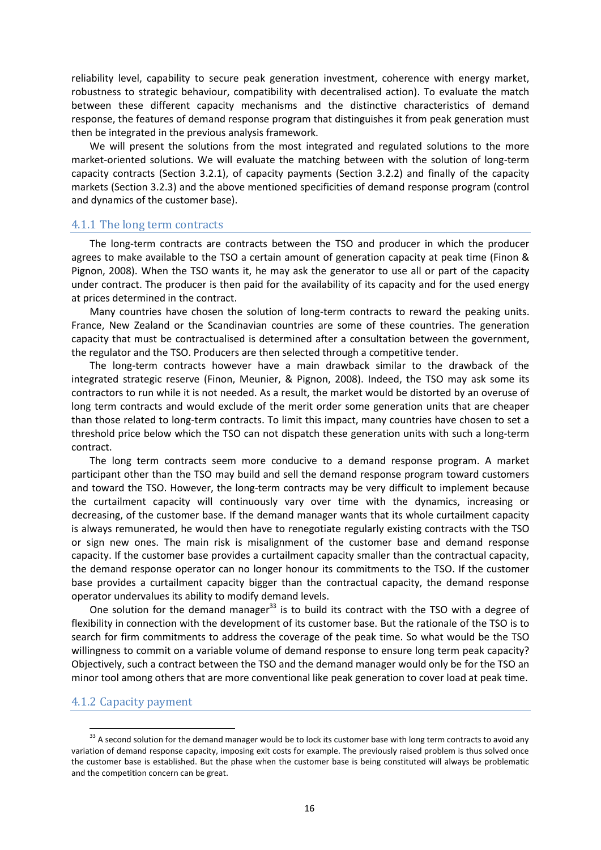reliability level, capability to secure peak generation investment, coherence with energy market, robustness to strategic behaviour, compatibility with decentralised action). To evaluate the match between these different capacity mechanisms and the distinctive characteristics of demand response, the features of demand response program that distinguishes it from peak generation must then be integrated in the previous analysis framework.

We will present the solutions from the most integrated and regulated solutions to the more market-oriented solutions. We will evaluate the matching between with the solution of long-term capacity contracts (Section 3.2.1), of capacity payments (Section 3.2.2) and finally of the capacity markets (Section 3.2.3) and the above mentioned specificities of demand response program (control and dynamics of the customer base).

## 4.1.1 The long term contracts

The long-term contracts are contracts between the TSO and producer in which the producer agrees to make available to the TSO a certain amount of generation capacity at peak time (Finon & Pignon, 2008). When the TSO wants it, he may ask the generator to use all or part of the capacity under contract. The producer is then paid for the availability of its capacity and for the used energy at prices determined in the contract.

Many countries have chosen the solution of long-term contracts to reward the peaking units. France, New Zealand or the Scandinavian countries are some of these countries. The generation capacity that must be contractualised is determined after a consultation between the government, the regulator and the TSO. Producers are then selected through a competitive tender.

The long-term contracts however have a main drawback similar to the drawback of the integrated strategic reserve (Finon, Meunier, & Pignon, 2008). Indeed, the TSO may ask some its contractors to run while it is not needed. As a result, the market would be distorted by an overuse of long term contracts and would exclude of the merit order some generation units that are cheaper than those related to long-term contracts. To limit this impact, many countries have chosen to set a threshold price below which the TSO can not dispatch these generation units with such a long-term contract.

The long term contracts seem more conducive to a demand response program. A market participant other than the TSO may build and sell the demand response program toward customers and toward the TSO. However, the long-term contracts may be very difficult to implement because the curtailment capacity will continuously vary over time with the dynamics, increasing or decreasing, of the customer base. If the demand manager wants that its whole curtailment capacity is always remunerated, he would then have to renegotiate regularly existing contracts with the TSO or sign new ones. The main risk is misalignment of the customer base and demand response capacity. If the customer base provides a curtailment capacity smaller than the contractual capacity, the demand response operator can no longer honour its commitments to the TSO. If the customer base provides a curtailment capacity bigger than the contractual capacity, the demand response operator undervalues its ability to modify demand levels.

One solution for the demand manager<sup>33</sup> is to build its contract with the TSO with a degree of flexibility in connection with the development of its customer base. But the rationale of the TSO is to search for firm commitments to address the coverage of the peak time. So what would be the TSO willingness to commit on a variable volume of demand response to ensure long term peak capacity? Objectively, such a contract between the TSO and the demand manager would only be for the TSO an minor tool among others that are more conventional like peak generation to cover load at peak time.

## 4.1.2 Capacity payment

 $33$  A second solution for the demand manager would be to lock its customer base with long term contracts to avoid any variation of demand response capacity, imposing exit costs for example. The previously raised problem is thus solved once the customer base is established. But the phase when the customer base is being constituted will always be problematic and the competition concern can be great.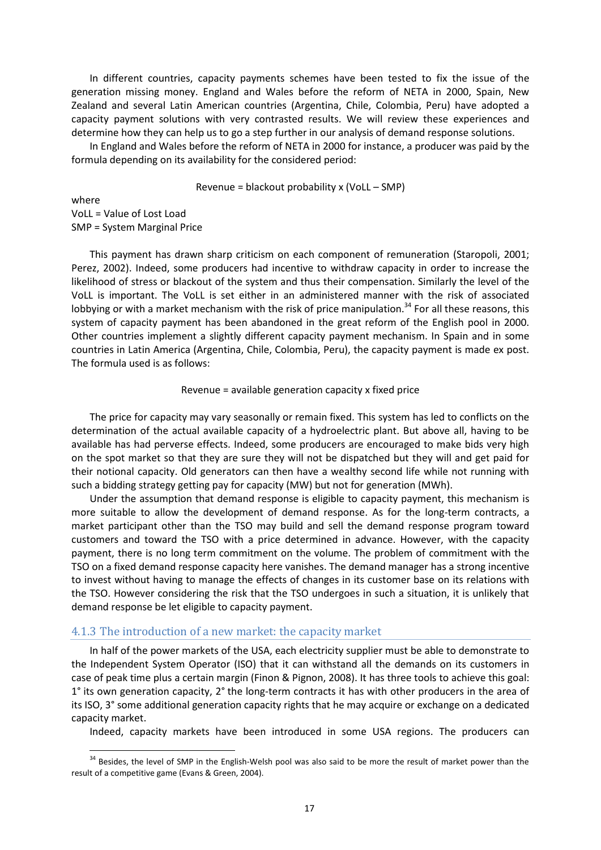In different countries, capacity payments schemes have been tested to fix the issue of the generation missing money. England and Wales before the reform of NETA in 2000, Spain, New Zealand and several Latin American countries (Argentina, Chile, Colombia, Peru) have adopted a capacity payment solutions with very contrasted results. We will review these experiences and determine how they can help us to go a step further in our analysis of demand response solutions.

In England and Wales before the reform of NETA in 2000 for instance, a producer was paid by the formula depending on its availability for the considered period:

Revenue = blackout probability x (VoLL – SMP)

where VoLL = Value of Lost Load

**.** 

SMP = System Marginal Price

This payment has drawn sharp criticism on each component of remuneration (Staropoli, 2001; Perez, 2002). Indeed, some producers had incentive to withdraw capacity in order to increase the likelihood of stress or blackout of the system and thus their compensation. Similarly the level of the VoLL is important. The VoLL is set either in an administered manner with the risk of associated lobbying or with a market mechanism with the risk of price manipulation.<sup>34</sup> For all these reasons, this system of capacity payment has been abandoned in the great reform of the English pool in 2000. Other countries implement a slightly different capacity payment mechanism. In Spain and in some countries in Latin America (Argentina, Chile, Colombia, Peru), the capacity payment is made ex post. The formula used is as follows:

#### Revenue = available generation capacity x fixed price

The price for capacity may vary seasonally or remain fixed. This system has led to conflicts on the determination of the actual available capacity of a hydroelectric plant. But above all, having to be available has had perverse effects. Indeed, some producers are encouraged to make bids very high on the spot market so that they are sure they will not be dispatched but they will and get paid for their notional capacity. Old generators can then have a wealthy second life while not running with such a bidding strategy getting pay for capacity (MW) but not for generation (MWh).

Under the assumption that demand response is eligible to capacity payment, this mechanism is more suitable to allow the development of demand response. As for the long-term contracts, a market participant other than the TSO may build and sell the demand response program toward customers and toward the TSO with a price determined in advance. However, with the capacity payment, there is no long term commitment on the volume. The problem of commitment with the TSO on a fixed demand response capacity here vanishes. The demand manager has a strong incentive to invest without having to manage the effects of changes in its customer base on its relations with the TSO. However considering the risk that the TSO undergoes in such a situation, it is unlikely that demand response be let eligible to capacity payment.

## 4.1.3 The introduction of a new market: the capacity market

In half of the power markets of the USA, each electricity supplier must be able to demonstrate to the Independent System Operator (ISO) that it can withstand all the demands on its customers in case of peak time plus a certain margin (Finon & Pignon, 2008). It has three tools to achieve this goal: 1° its own generation capacity, 2° the long-term contracts it has with other producers in the area of its ISO, 3° some additional generation capacity rights that he may acquire or exchange on a dedicated capacity market.

Indeed, capacity markets have been introduced in some USA regions. The producers can

<sup>&</sup>lt;sup>34</sup> Besides, the level of SMP in the English-Welsh pool was also said to be more the result of market power than the result of a competitive game (Evans & Green, 2004).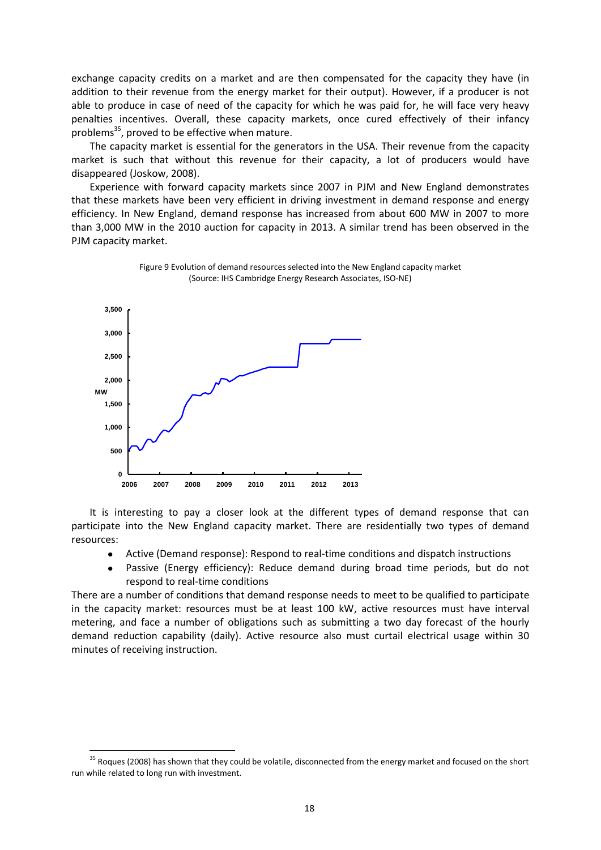exchange capacity credits on a market and are then compensated for the capacity they have (in addition to their revenue from the energy market for their output). However, if a producer is not able to produce in case of need of the capacity for which he was paid for, he will face very heavy penalties incentives. Overall, these capacity markets, once cured effectively of their infancy problems<sup>35</sup>, proved to be effective when mature.

The capacity market is essential for the generators in the USA. Their revenue from the capacity market is such that without this revenue for their capacity, a lot of producers would have disappeared (Joskow, 2008).

Experience with forward capacity markets since 2007 in PJM and New England demonstrates that these markets have been very efficient in driving investment in demand response and energy efficiency. In New England, demand response has increased from about 600 MW in 2007 to more than 3,000 MW in the 2010 auction for capacity in 2013. A similar trend has been observed in the PJM capacity market.



Figure 9 Evolution of demand resources selected into the New England capacity market (Source: IHS Cambridge Energy Research Associates, ISO-NE)

It is interesting to pay a closer look at the different types of demand response that can participate into the New England capacity market. There are residentially two types of demand resources:

- Active (Demand response): Respond to real-time conditions and dispatch instructions
- Passive (Energy efficiency): Reduce demand during broad time periods, but do not respond to real-time conditions

There are a number of conditions that demand response needs to meet to be qualified to participate in the capacity market: resources must be at least 100 kW, active resources must have interval metering, and face a number of obligations such as submitting a two day forecast of the hourly demand reduction capability (daily). Active resource also must curtail electrical usage within 30 minutes of receiving instruction.

<sup>&</sup>lt;sup>35</sup> Roques (2008) has shown that they could be volatile, disconnected from the energy market and focused on the short run while related to long run with investment.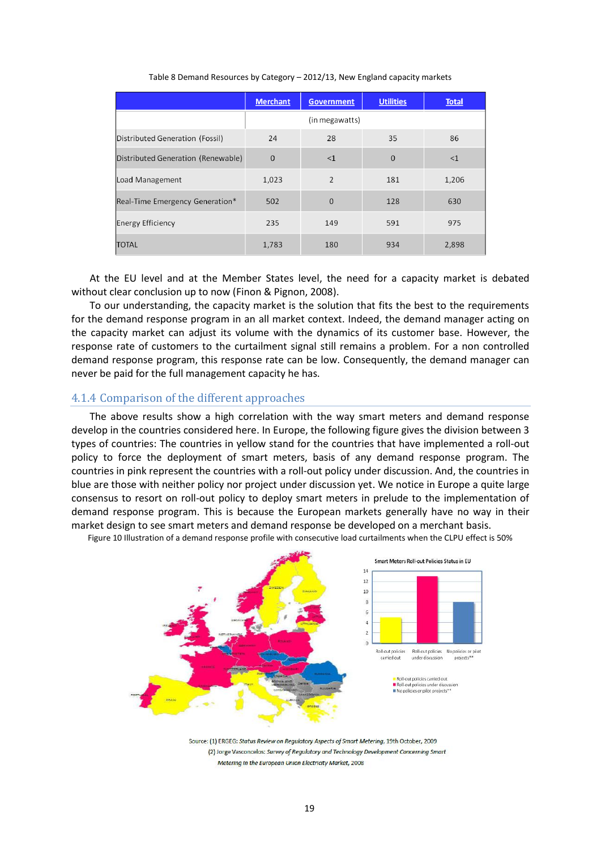|                                    | <b>Merchant</b> | <b>Government</b> | <b>Utilities</b> | <b>Total</b> |
|------------------------------------|-----------------|-------------------|------------------|--------------|
|                                    |                 | (in megawatts)    |                  |              |
| Distributed Generation (Fossil)    | 24              | 28                | 35               | 86           |
| Distributed Generation (Renewable) | $\Omega$        | <1                | $\Omega$         | <1           |
| Load Management                    | 1,023           | $\overline{2}$    | 181              | 1,206        |
| Real-Time Emergency Generation*    | 502             | $\overline{0}$    | 128              | 630          |
| <b>Energy Efficiency</b>           | 235             | 149               | 591              | 975          |
| <b>TOTAL</b>                       | 1,783           | 180               | 934              | 2,898        |

## Table 8 Demand Resources by Category – 2012/13, New England capacity markets

At the EU level and at the Member States level, the need for a capacity market is debated without clear conclusion up to now (Finon & Pignon, 2008).

To our understanding, the capacity market is the solution that fits the best to the requirements for the demand response program in an all market context. Indeed, the demand manager acting on the capacity market can adjust its volume with the dynamics of its customer base. However, the response rate of customers to the curtailment signal still remains a problem. For a non controlled demand response program, this response rate can be low. Consequently, the demand manager can never be paid for the full management capacity he has.

# 4.1.4 Comparison of the different approaches

The above results show a high correlation with the way smart meters and demand response develop in the countries considered here. In Europe, the following figure gives the division between 3 types of countries: The countries in yellow stand for the countries that have implemented a roll-out policy to force the deployment of smart meters, basis of any demand response program. The countries in pink represent the countries with a roll-out policy under discussion. And, the countries in blue are those with neither policy nor project under discussion yet. We notice in Europe a quite large consensus to resort on roll-out policy to deploy smart meters in prelude to the implementation of demand response program. This is because the European markets generally have no way in their market design to see smart meters and demand response be developed on a merchant basis.



Figure 10 Illustration of a demand response profile with consecutive load curtailments when the CLPU effect is 50%

Source: (1) ERGEG: Status Review on Regulatory Aspects of Smart Metering, 19th October, 2009 (2) Jorge Vasconcelos: Survey of Regulatory and Technology Development Concerning Smart Metering In the European Union Electricity Market, 2008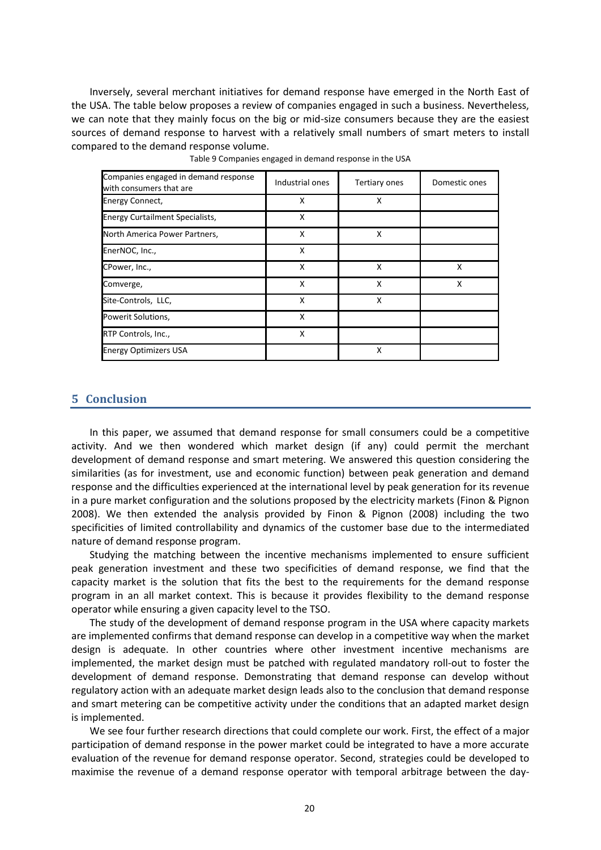Inversely, several merchant initiatives for demand response have emerged in the North East of the USA. The table below proposes a review of companies engaged in such a business. Nevertheless, we can note that they mainly focus on the big or mid-size consumers because they are the easiest sources of demand response to harvest with a relatively small numbers of smart meters to install compared to the demand response volume.

| Companies engaged in demand response<br>with consumers that are | Industrial ones | Tertiary ones | Domestic ones |
|-----------------------------------------------------------------|-----------------|---------------|---------------|
| Energy Connect,                                                 | x               | x             |               |
| <b>Energy Curtailment Specialists,</b>                          | x               |               |               |
| North America Power Partners,                                   | x               | x             |               |
| EnerNOC, Inc.,                                                  | X               |               |               |
| CPower, Inc.,                                                   | x               | x             | x             |
| Comverge,                                                       | x               | x             | x             |
| Site-Controls, LLC,                                             | X               | X             |               |
| Powerit Solutions,                                              | X               |               |               |
| RTP Controls, Inc.,                                             | x               |               |               |
| <b>Energy Optimizers USA</b>                                    |                 | X             |               |

Table 9 Companies engaged in demand response in the USA

# **5 Conclusion**

In this paper, we assumed that demand response for small consumers could be a competitive activity. And we then wondered which market design (if any) could permit the merchant development of demand response and smart metering. We answered this question considering the similarities (as for investment, use and economic function) between peak generation and demand response and the difficulties experienced at the international level by peak generation for its revenue in a pure market configuration and the solutions proposed by the electricity markets (Finon & Pignon 2008). We then extended the analysis provided by Finon & Pignon (2008) including the two specificities of limited controllability and dynamics of the customer base due to the intermediated nature of demand response program.

Studying the matching between the incentive mechanisms implemented to ensure sufficient peak generation investment and these two specificities of demand response, we find that the capacity market is the solution that fits the best to the requirements for the demand response program in an all market context. This is because it provides flexibility to the demand response operator while ensuring a given capacity level to the TSO.

The study of the development of demand response program in the USA where capacity markets are implemented confirms that demand response can develop in a competitive way when the market design is adequate. In other countries where other investment incentive mechanisms are implemented, the market design must be patched with regulated mandatory roll-out to foster the development of demand response. Demonstrating that demand response can develop without regulatory action with an adequate market design leads also to the conclusion that demand response and smart metering can be competitive activity under the conditions that an adapted market design is implemented.

We see four further research directions that could complete our work. First, the effect of a major participation of demand response in the power market could be integrated to have a more accurate evaluation of the revenue for demand response operator. Second, strategies could be developed to maximise the revenue of a demand response operator with temporal arbitrage between the day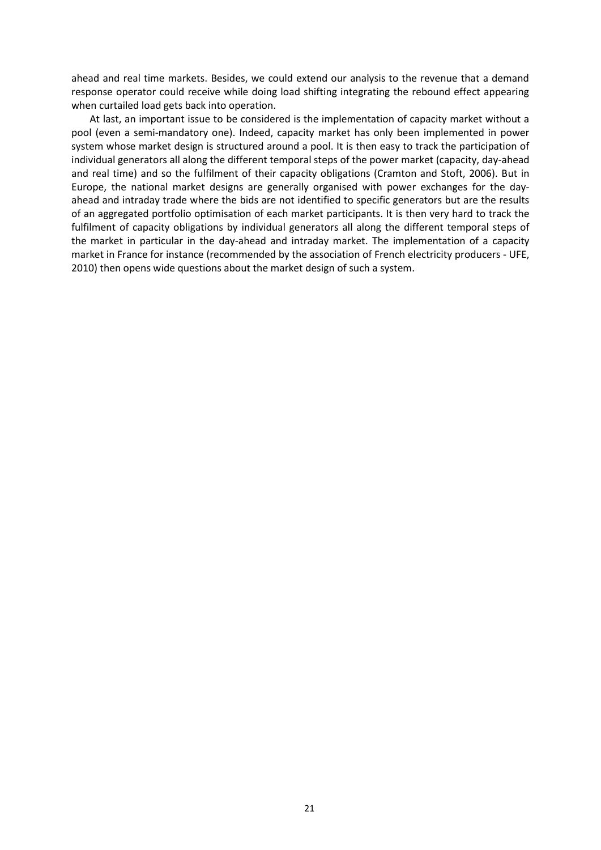ahead and real time markets. Besides, we could extend our analysis to the revenue that a demand response operator could receive while doing load shifting integrating the rebound effect appearing when curtailed load gets back into operation.

At last, an important issue to be considered is the implementation of capacity market without a pool (even a semi-mandatory one). Indeed, capacity market has only been implemented in power system whose market design is structured around a pool. It is then easy to track the participation of individual generators all along the different temporal steps of the power market (capacity, day-ahead and real time) and so the fulfilment of their capacity obligations (Cramton and Stoft, 2006). But in Europe, the national market designs are generally organised with power exchanges for the dayahead and intraday trade where the bids are not identified to specific generators but are the results of an aggregated portfolio optimisation of each market participants. It is then very hard to track the fulfilment of capacity obligations by individual generators all along the different temporal steps of the market in particular in the day-ahead and intraday market. The implementation of a capacity market in France for instance (recommended by the association of French electricity producers - UFE, 2010) then opens wide questions about the market design of such a system.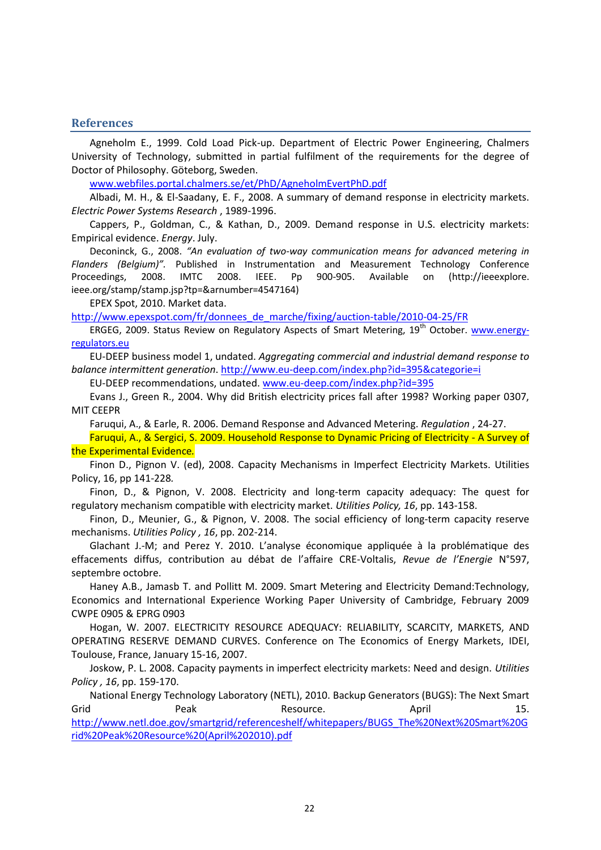## **References**

Agneholm E., 1999. Cold Load Pick-up. Department of Electric Power Engineering, Chalmers University of Technology, submitted in partial fulfilment of the requirements for the degree of Doctor of Philosophy. Göteborg, Sweden.

[www.webfiles.portal.chalmers.se/et/PhD/AgneholmEvertPhD.pdf](http://www.webfiles.portal.chalmers.se/et/PhD/AgneholmEvertPhD.pdf)

Albadi, M. H., & El-Saadany, E. F., 2008. A summary of demand response in electricity markets. *Electric Power Systems Research* , 1989-1996.

Cappers, P., Goldman, C., & Kathan, D., 2009. Demand response in U.S. electricity markets: Empirical evidence. *Energy*. July.

Deconinck, G., 2008. *"An evaluation of two-way communication means for advanced metering in Flanders (Belgium)".* Published in [Instrumentation and Measurement Technology Conference](http://ieeexplore.ieee.org/xpl/mostRecentIssue.jsp?punumber=4539706)  [Proceedings, 2008. IMTC 2008. IEEE.](http://ieeexplore.ieee.org/xpl/mostRecentIssue.jsp?punumber=4539706) Pp 900-905. Available on [\(http://ieeexplore.](http://ieeexplore/) i[eee.org/stamp/stamp.jsp?tp=&a](http://ieeexplore.ieee.org/stamp/stamp.jsp?tp=&)rnumber=4547164)

EPEX Spot, 2010. Market data.

[http://www.epexspot.com/fr/donnees\\_de\\_marche/fixing/auction-table/2010-04-25/FR](http://www.epexspot.com/fr/donnees_de_marche/fixing/auction-table/2010-04-25/FR)

ERGEG, 2009. Status Review on Regulatory Aspects of Smart Metering, 19<sup>th</sup> October. [www.energy](http://www.energy-regulators.eu/)[regulators.eu](http://www.energy-regulators.eu/)

EU-DEEP business model 1, undated. *Aggregating commercial and industrial demand response to balance intermittent generation*.<http://www.eu-deep.com/index.php?id=395&categorie=i>

EU-DEEP recommendations, undated. [www.eu-deep.com/index.php?id=395](http://www.eu-deep.com/index.php?id=395)

Evans J., Green R., 2004. Why did British electricity prices fall after 1998? Working paper 0307, MIT CEEPR

Faruqui, A., & Earle, R. 2006. Demand Response and Advanced Metering. *Regulation* , 24-27.

Faruqui, A., & Sergici, S. 2009. Household Response to Dynamic Pricing of Electricity - A Survey of the Experimental Evidence*.*

Finon D., Pignon V. (ed), 2008. Capacity Mechanisms in Imperfect Electricity Markets. Utilities Policy, 16, pp 141-228*.*

Finon, D., & Pignon, V. 2008. Electricity and long-term capacity adequacy: The quest for regulatory mechanism compatible with electricity market. *Utilities Policy, 16*, pp. 143-158.

Finon, D., Meunier, G., & Pignon, V. 2008. The social efficiency of long-term capacity reserve mechanisms. *Utilities Policy , 16*, pp. 202-214.

Glachant J.-M; and Perez Y. 2010. L'analyse économique appliquée à la problématique des effacements diffus, contribution au débat de l'affaire CRE-Voltalis, *Revue de l'Energie* N°597, septembre octobre.

Haney A.B., Jamasb T. and Pollitt M. 2009. Smart Metering and Electricity Demand:Technology, Economics and International Experience Working Paper University of Cambridge, February 2009 CWPE 0905 & EPRG 0903

Hogan, W. 2007. ELECTRICITY RESOURCE ADEQUACY: RELIABILITY, SCARCITY, MARKETS, AND OPERATING RESERVE DEMAND CURVES. Conference on The Economics of Energy Markets, IDEI, Toulouse, France, January 15-16, 2007.

Joskow, P. L. 2008. Capacity payments in imperfect electricity markets: Need and design. *Utilities Policy , 16*, pp. 159-170.

National Energy Technology Laboratory (NETL), 2010. Backup Generators (BUGS): The Next Smart Grid Peak Resource. April 15. [http://www.netl.doe.gov/smartgrid/referenceshelf/whitepapers/BUGS\\_The%20Next%20Smart%20G](http://www.netl.doe.gov/smartgrid/referenceshelf/whitepapers/BUGS_The%20Next%20Smart%20Grid%20Peak%20Resource%20(April%202010).pdf) [rid%20Peak%20Resource%20\(April%202010\).pdf](http://www.netl.doe.gov/smartgrid/referenceshelf/whitepapers/BUGS_The%20Next%20Smart%20Grid%20Peak%20Resource%20(April%202010).pdf)